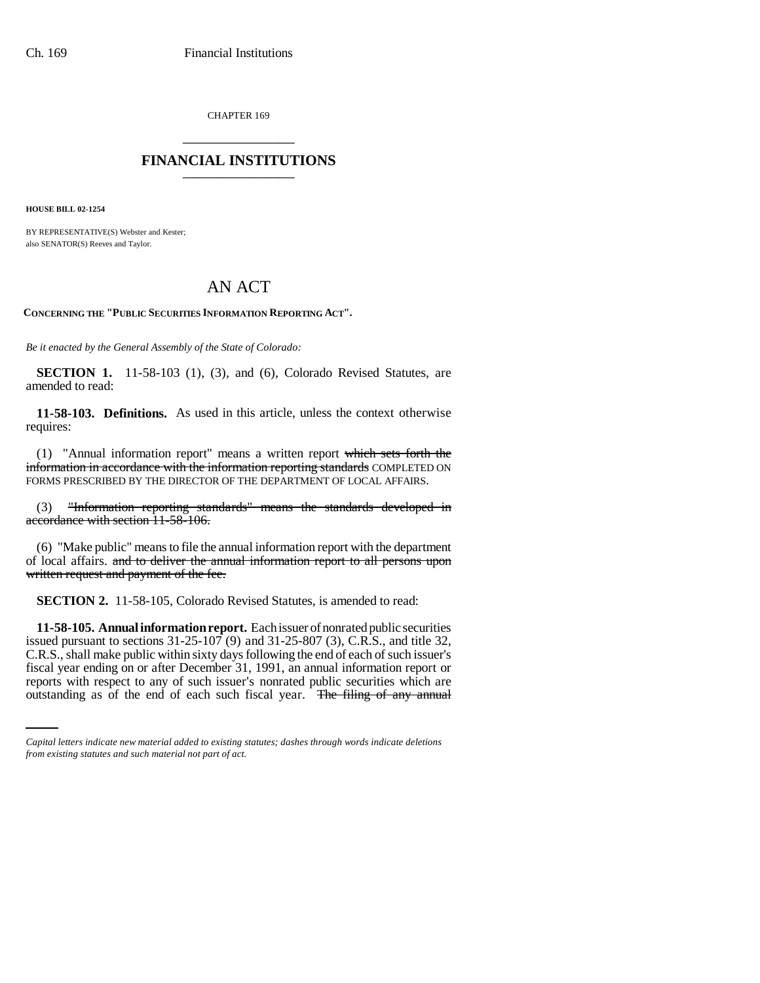CHAPTER 169 \_\_\_\_\_\_\_\_\_\_\_\_\_\_\_

## **FINANCIAL INSTITUTIONS** \_\_\_\_\_\_\_\_\_\_\_\_\_\_\_

**HOUSE BILL 02-1254**

BY REPRESENTATIVE(S) Webster and Kester; also SENATOR(S) Reeves and Taylor.

## AN ACT

**CONCERNING THE "PUBLIC SECURITIES INFORMATION REPORTING ACT".**

*Be it enacted by the General Assembly of the State of Colorado:*

**SECTION 1.** 11-58-103 (1), (3), and (6), Colorado Revised Statutes, are amended to read:

**11-58-103. Definitions.** As used in this article, unless the context otherwise requires:

(1) "Annual information report" means a written report which sets forth the information in accordance with the information reporting standards COMPLETED ON FORMS PRESCRIBED BY THE DIRECTOR OF THE DEPARTMENT OF LOCAL AFFAIRS.

(3) "Information reporting standards" means the standards developed in accordance with section 11-58-106.

(6) "Make public" means to file the annual information report with the department of local affairs. and to deliver the annual information report to all persons upon written request and payment of the fee.

**SECTION 2.** 11-58-105, Colorado Revised Statutes, is amended to read:

fiscal year ending on or after December 31, 1991, an annual information report or **11-58-105. Annual information report.** Each issuer of nonrated public securities issued pursuant to sections  $31-25-107$  (9) and  $31-25-807$  (3), C.R.S., and title 32, C.R.S., shall make public within sixty days following the end of each of such issuer's reports with respect to any of such issuer's nonrated public securities which are outstanding as of the end of each such fiscal year. The filing of any annual

*Capital letters indicate new material added to existing statutes; dashes through words indicate deletions from existing statutes and such material not part of act.*